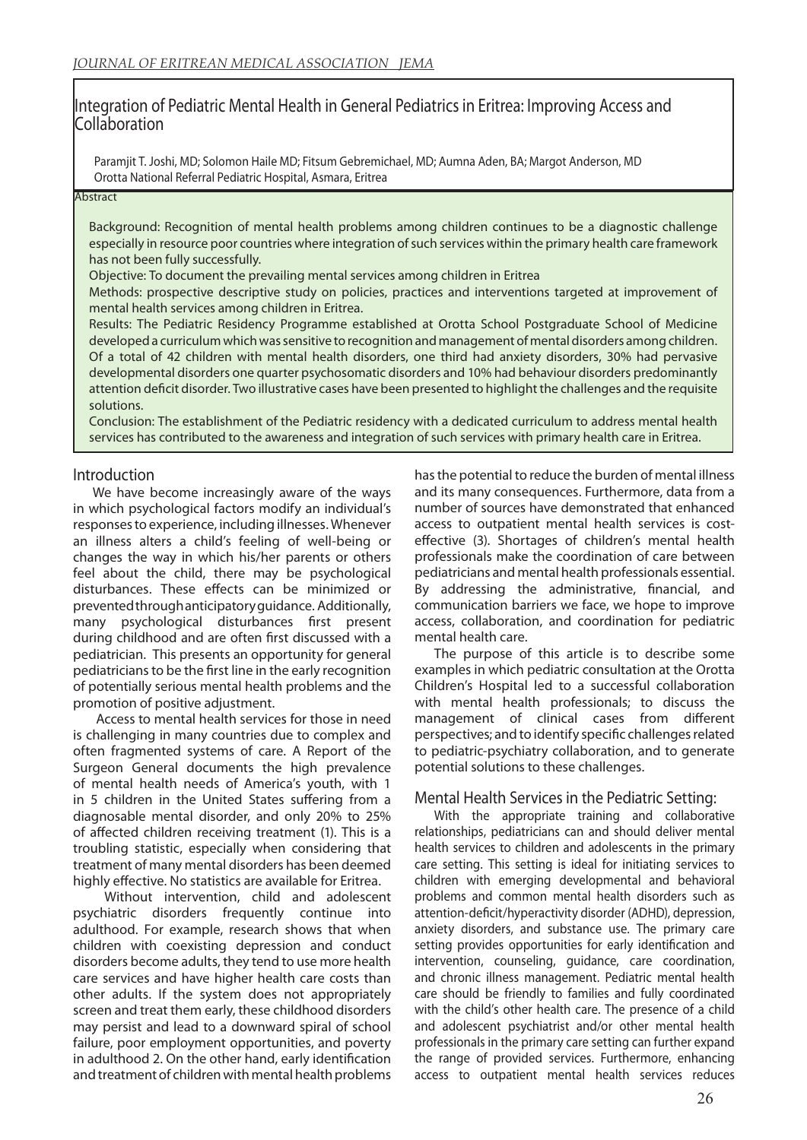# Integration of Pediatric Mental Health in General Pediatrics in Eritrea: Improving Access and Collaboration

Paramjit T. Joshi, MD; Solomon Haile MD; Fitsum Gebremichael, MD; Aumna Aden, BA; Margot Anderson, MD Orotta National Referral Pediatric Hospital, Asmara, Eritrea

#### **Abstract**

Background: Recognition of mental health problems among children continues to be a diagnostic challenge especially in resource poor countries where integration of such services within the primary health care framework has not been fully successfully.

Objective: To document the prevailing mental services among children in Eritrea

Methods: prospective descriptive study on policies, practices and interventions targeted at improvement of mental health services among children in Eritrea.

Results: The Pediatric Residency Programme established at Orotta School Postgraduate School of Medicine developed a curriculum which was sensitive to recognition and management of mental disorders among children. Of a total of 42 children with mental health disorders, one third had anxiety disorders, 30% had pervasive developmental disorders one quarter psychosomatic disorders and 10% had behaviour disorders predominantly attention deficit disorder. Two illustrative cases have been presented to highlight the challenges and the requisite solutions.

Conclusion: The establishment of the Pediatric residency with a dedicated curriculum to address mental health services has contributed to the awareness and integration of such services with primary health care in Eritrea.

## Introduction

We have become increasingly aware of the ways in which psychological factors modify an individual's responses to experience, including illnesses. Whenever an illness alters a child's feeling of well-being or changes the way in which his/her parents or others feel about the child, there may be psychological disturbances. These effects can be minimized or prevented through anticipatory guidance. Additionally, many psychological disturbances first present during childhood and are often first discussed with a pediatrician. This presents an opportunity for general pediatricians to be the first line in the early recognition of potentially serious mental health problems and the promotion of positive adjustment.

 Access to mental health services for those in need is challenging in many countries due to complex and often fragmented systems of care. A Report of the Surgeon General documents the high prevalence of mental health needs of America's youth, with 1 in 5 children in the United States suffering from a diagnosable mental disorder, and only 20% to 25% of affected children receiving treatment (1). This is a troubling statistic, especially when considering that treatment of many mental disorders has been deemed highly effective. No statistics are available for Eritrea.

 Without intervention, child and adolescent psychiatric disorders frequently continue into adulthood. For example, research shows that when children with coexisting depression and conduct disorders become adults, they tend to use more health care services and have higher health care costs than other adults. If the system does not appropriately screen and treat them early, these childhood disorders may persist and lead to a downward spiral of school failure, poor employment opportunities, and poverty in adulthood 2. On the other hand, early identification and treatment of children with mental health problems

has the potential to reduce the burden of mental illness and its many consequences. Furthermore, data from a number of sources have demonstrated that enhanced access to outpatient mental health services is costeffective (3). Shortages of children's mental health professionals make the coordination of care between pediatricians and mental health professionals essential. By addressing the administrative, financial, and communication barriers we face, we hope to improve access, collaboration, and coordination for pediatric mental health care.

The purpose of this article is to describe some examples in which pediatric consultation at the Orotta Children's Hospital led to a successful collaboration with mental health professionals; to discuss the management of clinical cases from different perspectives; and to identify specific challenges related to pediatric-psychiatry collaboration, and to generate potential solutions to these challenges.

# Mental Health Services in the Pediatric Setting:

With the appropriate training and collaborative relationships, pediatricians can and should deliver mental health services to children and adolescents in the primary care setting. This setting is ideal for initiating services to children with emerging developmental and behavioral problems and common mental health disorders such as attention-deficit/hyperactivity disorder (ADHD), depression, anxiety disorders, and substance use. The primary care setting provides opportunities for early identification and intervention, counseling, guidance, care coordination, and chronic illness management. Pediatric mental health care should be friendly to families and fully coordinated with the child's other health care. The presence of a child and adolescent psychiatrist and/or other mental health professionals in the primary care setting can further expand the range of provided services. Furthermore, enhancing access to outpatient mental health services reduces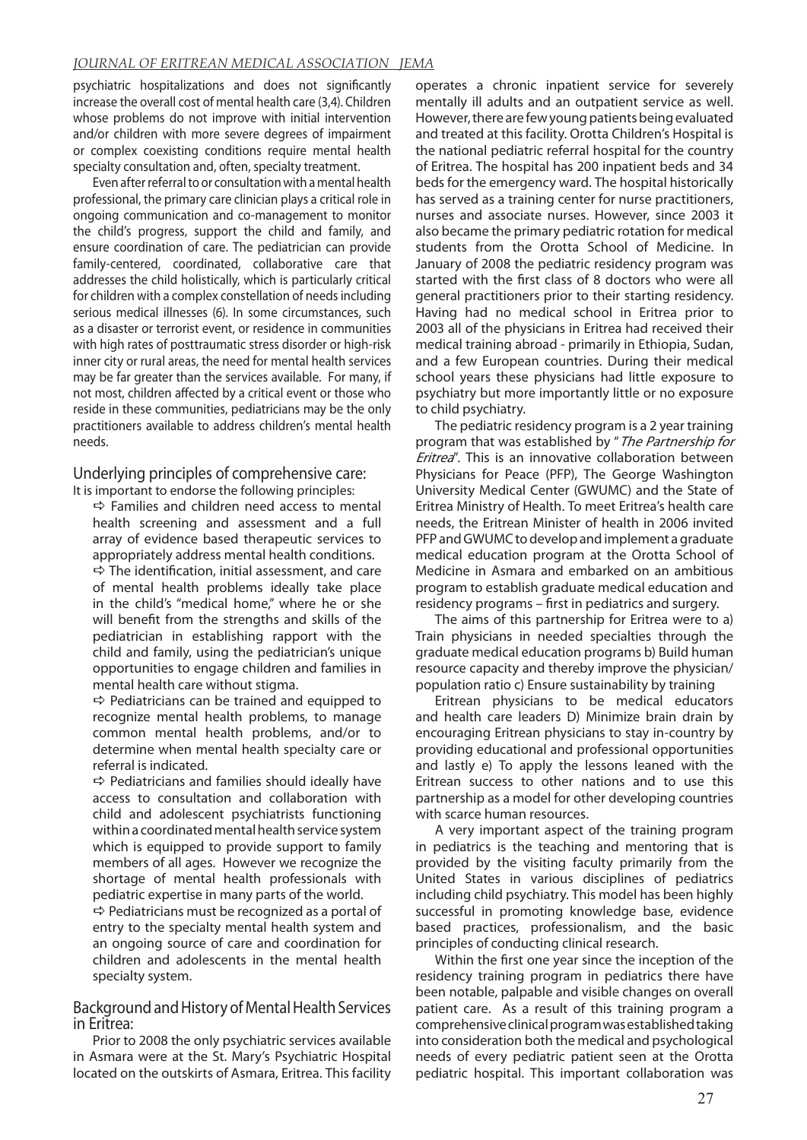psychiatric hospitalizations and does not significantly increase the overall cost of mental health care (3,4). Children whose problems do not improve with initial intervention and/or children with more severe degrees of impairment or complex coexisting conditions require mental health specialty consultation and, often, specialty treatment.

Even after referral to or consultation with a mental health professional, the primary care clinician plays a critical role in ongoing communication and co-management to monitor the child's progress, support the child and family, and ensure coordination of care. The pediatrician can provide family-centered, coordinated, collaborative care that addresses the child holistically, which is particularly critical for children with a complex constellation of needs including serious medical illnesses (6). In some circumstances, such as a disaster or terrorist event, or residence in communities with high rates of posttraumatic stress disorder or high-risk inner city or rural areas, the need for mental health services may be far greater than the services available. For many, if not most, children affected by a critical event or those who reside in these communities, pediatricians may be the only practitioners available to address children's mental health needs.

Underlying principles of comprehensive care:

It is important to endorse the following principles:

 $\Rightarrow$  Families and children need access to mental health screening and assessment and a full array of evidence based therapeutic services to appropriately address mental health conditions.  $\Rightarrow$  The identification, initial assessment, and care of mental health problems ideally take place in the child's "medical home," where he or she will benefit from the strengths and skills of the pediatrician in establishing rapport with the child and family, using the pediatrician's unique opportunities to engage children and families in mental health care without stigma.

 $\Rightarrow$  Pediatricians can be trained and equipped to recognize mental health problems, to manage common mental health problems, and/or to determine when mental health specialty care or referral is indicated.

 $\Rightarrow$  Pediatricians and families should ideally have access to consultation and collaboration with child and adolescent psychiatrists functioning within a coordinated mental health service system which is equipped to provide support to family members of all ages. However we recognize the shortage of mental health professionals with pediatric expertise in many parts of the world.

 $\Rightarrow$  Pediatricians must be recognized as a portal of entry to the specialty mental health system and an ongoing source of care and coordination for children and adolescents in the mental health specialty system.

## Background and History of Mental Health Services in Eritrea:

Prior to 2008 the only psychiatric services available in Asmara were at the St. Mary's Psychiatric Hospital located on the outskirts of Asmara, Eritrea. This facility

operates a chronic inpatient service for severely mentally ill adults and an outpatient service as well. However, there are few young patients being evaluated and treated at this facility. Orotta Children's Hospital is the national pediatric referral hospital for the country of Eritrea. The hospital has 200 inpatient beds and 34 beds for the emergency ward. The hospital historically has served as a training center for nurse practitioners, nurses and associate nurses. However, since 2003 it also became the primary pediatric rotation for medical students from the Orotta School of Medicine. In January of 2008 the pediatric residency program was started with the first class of 8 doctors who were all general practitioners prior to their starting residency. Having had no medical school in Eritrea prior to 2003 all of the physicians in Eritrea had received their medical training abroad - primarily in Ethiopia, Sudan, and a few European countries. During their medical school years these physicians had little exposure to psychiatry but more importantly little or no exposure to child psychiatry.

The pediatric residency program is a 2 year training program that was established by "The Partnership for Eritrea". This is an innovative collaboration between Physicians for Peace (PFP), The George Washington University Medical Center (GWUMC) and the State of Eritrea Ministry of Health. To meet Eritrea's health care needs, the Eritrean Minister of health in 2006 invited PFP and GWUMC to develop and implement a graduate medical education program at the Orotta School of Medicine in Asmara and embarked on an ambitious program to establish graduate medical education and residency programs – first in pediatrics and surgery.

The aims of this partnership for Eritrea were to a) Train physicians in needed specialties through the graduate medical education programs b) Build human resource capacity and thereby improve the physician/ population ratio c) Ensure sustainability by training

Eritrean physicians to be medical educators and health care leaders D) Minimize brain drain by encouraging Eritrean physicians to stay in-country by providing educational and professional opportunities and lastly e) To apply the lessons leaned with the Eritrean success to other nations and to use this partnership as a model for other developing countries with scarce human resources.

A very important aspect of the training program in pediatrics is the teaching and mentoring that is provided by the visiting faculty primarily from the United States in various disciplines of pediatrics including child psychiatry. This model has been highly successful in promoting knowledge base, evidence based practices, professionalism, and the basic principles of conducting clinical research.

Within the first one year since the inception of the residency training program in pediatrics there have been notable, palpable and visible changes on overall patient care. As a result of this training program a comprehensive clinical program was established taking into consideration both the medical and psychological needs of every pediatric patient seen at the Orotta pediatric hospital. This important collaboration was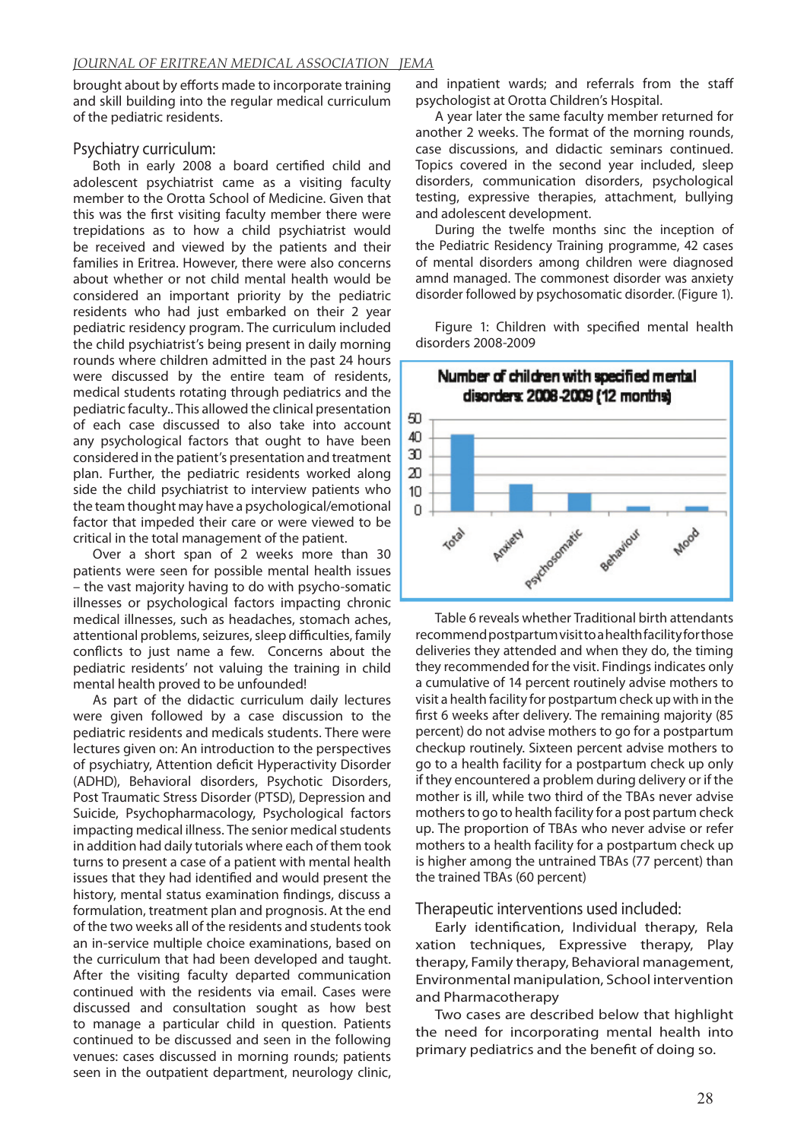brought about by efforts made to incorporate training and skill building into the regular medical curriculum of the pediatric residents.

### Psychiatry curriculum:

Both in early 2008 a board certified child and adolescent psychiatrist came as a visiting faculty member to the Orotta School of Medicine. Given that this was the first visiting faculty member there were trepidations as to how a child psychiatrist would be received and viewed by the patients and their families in Eritrea. However, there were also concerns about whether or not child mental health would be considered an important priority by the pediatric residents who had just embarked on their 2 year pediatric residency program. The curriculum included the child psychiatrist's being present in daily morning rounds where children admitted in the past 24 hours were discussed by the entire team of residents, medical students rotating through pediatrics and the pediatric faculty.. This allowed the clinical presentation of each case discussed to also take into account any psychological factors that ought to have been considered in the patient's presentation and treatment plan. Further, the pediatric residents worked along side the child psychiatrist to interview patients who the team thought may have a psychological/emotional factor that impeded their care or were viewed to be critical in the total management of the patient.

Over a short span of 2 weeks more than 30 patients were seen for possible mental health issues – the vast majority having to do with psycho-somatic illnesses or psychological factors impacting chronic medical illnesses, such as headaches, stomach aches, attentional problems, seizures, sleep difficulties, family conflicts to just name a few. Concerns about the pediatric residents' not valuing the training in child mental health proved to be unfounded!

As part of the didactic curriculum daily lectures were given followed by a case discussion to the pediatric residents and medicals students. There were lectures given on: An introduction to the perspectives of psychiatry, Attention deficit Hyperactivity Disorder (ADHD), Behavioral disorders, Psychotic Disorders, Post Traumatic Stress Disorder (PTSD), Depression and Suicide, Psychopharmacology, Psychological factors impacting medical illness. The senior medical students in addition had daily tutorials where each of them took turns to present a case of a patient with mental health issues that they had identified and would present the history, mental status examination findings, discuss a formulation, treatment plan and prognosis. At the end of the two weeks all of the residents and students took an in-service multiple choice examinations, based on the curriculum that had been developed and taught. After the visiting faculty departed communication continued with the residents via email. Cases were discussed and consultation sought as how best to manage a particular child in question. Patients continued to be discussed and seen in the following venues: cases discussed in morning rounds; patients seen in the outpatient department, neurology clinic,

and inpatient wards; and referrals from the staff psychologist at Orotta Children's Hospital.

A year later the same faculty member returned for another 2 weeks. The format of the morning rounds, case discussions, and didactic seminars continued. Topics covered in the second year included, sleep disorders, communication disorders, psychological testing, expressive therapies, attachment, bullying and adolescent development.

During the twelfe months sinc the inception of the Pediatric Residency Training programme, 42 cases of mental disorders among children were diagnosed amnd managed. The commonest disorder was anxiety disorder followed by psychosomatic disorder. (Figure 1).

Figure 1: Children with specified mental health disorders 2008-2009



Table 6 reveals whether Traditional birth attendants recommend postpartum visit to a health facility for those deliveries they attended and when they do, the timing they recommended for the visit. Findings indicates only a cumulative of 14 percent routinely advise mothers to visit a health facility for postpartum check up with in the first 6 weeks after delivery. The remaining majority (85 percent) do not advise mothers to go for a postpartum checkup routinely. Sixteen percent advise mothers to go to a health facility for a postpartum check up only if they encountered a problem during delivery or if the mother is ill, while two third of the TBAs never advise mothers to go to health facility for a post partum check up. The proportion of TBAs who never advise or refer mothers to a health facility for a postpartum check up is higher among the untrained TBAs (77 percent) than the trained TBAs (60 percent)

#### Therapeutic interventions used included:

Early identification, Individual therapy, Rela xation techniques, Expressive therapy, Play therapy, Family therapy, Behavioral management, Environmental manipulation, School intervention and Pharmacotherapy

Two cases are described below that highlight the need for incorporating mental health into primary pediatrics and the benefit of doing so.